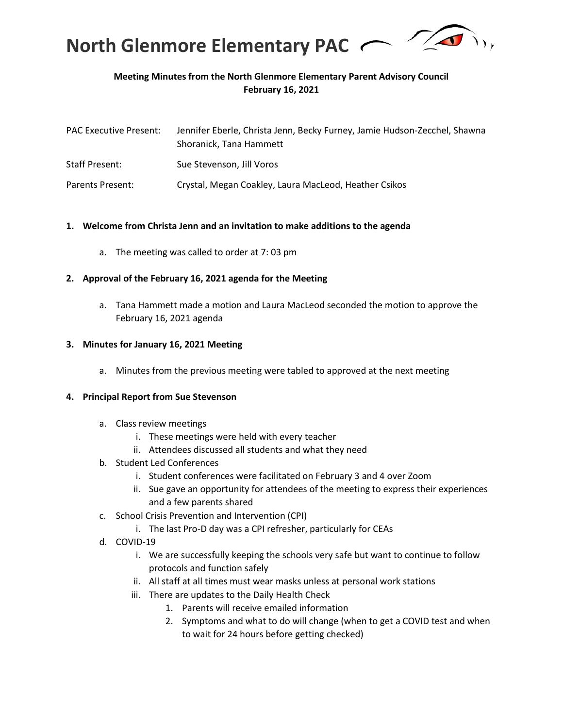

# **Meeting Minutes from the North Glenmore Elementary Parent Advisory Council February 16, 2021**

| <b>PAC Executive Present:</b> | Jennifer Eberle, Christa Jenn, Becky Furney, Jamie Hudson-Zecchel, Shawna<br>Shoranick, Tana Hammett |
|-------------------------------|------------------------------------------------------------------------------------------------------|
| <b>Staff Present:</b>         | Sue Stevenson, Jill Voros                                                                            |
| Parents Present:              | Crystal, Megan Coakley, Laura MacLeod, Heather Csikos                                                |

#### **1. Welcome from Christa Jenn and an invitation to make additions to the agenda**

a. The meeting was called to order at 7: 03 pm

#### **2. Approval of the February 16, 2021 agenda for the Meeting**

a. Tana Hammett made a motion and Laura MacLeod seconded the motion to approve the February 16, 2021 agenda

#### **3. Minutes for January 16, 2021 Meeting**

a. Minutes from the previous meeting were tabled to approved at the next meeting

#### **4. Principal Report from Sue Stevenson**

- a. Class review meetings
	- i. These meetings were held with every teacher
	- ii. Attendees discussed all students and what they need
- b. Student Led Conferences
	- i. Student conferences were facilitated on February 3 and 4 over Zoom
	- ii. Sue gave an opportunity for attendees of the meeting to express their experiences and a few parents shared
- c. School Crisis Prevention and Intervention (CPI)
	- i. The last Pro-D day was a CPI refresher, particularly for CEAs
- d. COVID-19
	- i. We are successfully keeping the schools very safe but want to continue to follow protocols and function safely
	- ii. All staff at all times must wear masks unless at personal work stations
	- iii. There are updates to the Daily Health Check
		- 1. Parents will receive emailed information
		- 2. Symptoms and what to do will change (when to get a COVID test and when to wait for 24 hours before getting checked)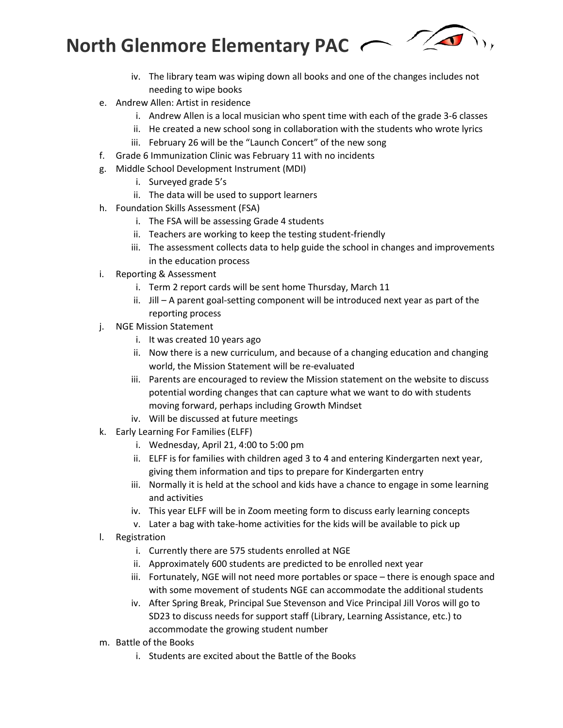

- iv. The library team was wiping down all books and one of the changes includes not needing to wipe books
- e. Andrew Allen: Artist in residence
	- i. Andrew Allen is a local musician who spent time with each of the grade 3-6 classes
	- ii. He created a new school song in collaboration with the students who wrote lyrics
	- iii. February 26 will be the "Launch Concert" of the new song
- f. Grade 6 Immunization Clinic was February 11 with no incidents
- g. Middle School Development Instrument (MDI)
	- i. Surveyed grade 5's
	- ii. The data will be used to support learners
- h. Foundation Skills Assessment (FSA)
	- i. The FSA will be assessing Grade 4 students
	- ii. Teachers are working to keep the testing student-friendly
	- iii. The assessment collects data to help guide the school in changes and improvements in the education process
- i. Reporting & Assessment
	- i. Term 2 report cards will be sent home Thursday, March 11
	- ii. Jill A parent goal-setting component will be introduced next year as part of the reporting process
- j. NGE Mission Statement
	- i. It was created 10 years ago
	- ii. Now there is a new curriculum, and because of a changing education and changing world, the Mission Statement will be re-evaluated
	- iii. Parents are encouraged to review the Mission statement on the website to discuss potential wording changes that can capture what we want to do with students moving forward, perhaps including Growth Mindset
	- iv. Will be discussed at future meetings
- k. Early Learning For Families (ELFF)
	- i. Wednesday, April 21, 4:00 to 5:00 pm
	- ii. ELFF is for families with children aged 3 to 4 and entering Kindergarten next year, giving them information and tips to prepare for Kindergarten entry
	- iii. Normally it is held at the school and kids have a chance to engage in some learning and activities
	- iv. This year ELFF will be in Zoom meeting form to discuss early learning concepts
	- v. Later a bag with take-home activities for the kids will be available to pick up
- l. Registration
	- i. Currently there are 575 students enrolled at NGE
	- ii. Approximately 600 students are predicted to be enrolled next year
	- iii. Fortunately, NGE will not need more portables or space there is enough space and with some movement of students NGE can accommodate the additional students
	- iv. After Spring Break, Principal Sue Stevenson and Vice Principal Jill Voros will go to SD23 to discuss needs for support staff (Library, Learning Assistance, etc.) to accommodate the growing student number
- m. Battle of the Books
	- i. Students are excited about the Battle of the Books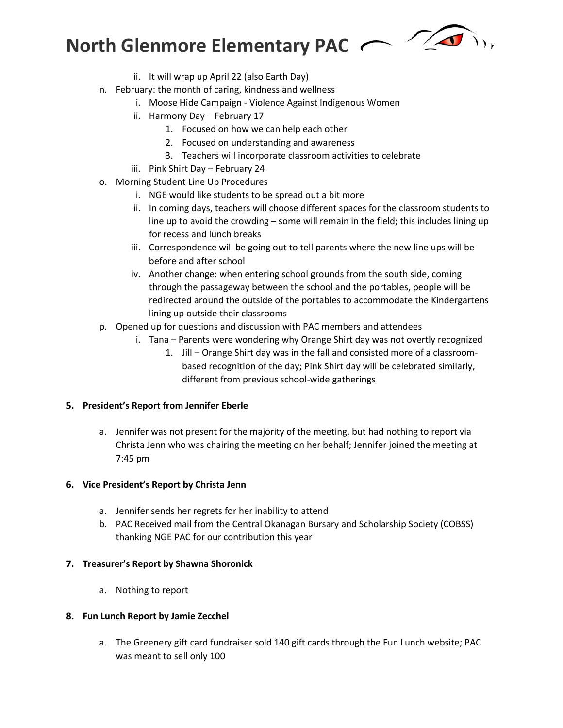

- ii. It will wrap up April 22 (also Earth Day)
- n. February: the month of caring, kindness and wellness
	- i. Moose Hide Campaign Violence Against Indigenous Women
		- ii. Harmony Day February 17
			- 1. Focused on how we can help each other
			- 2. Focused on understanding and awareness
			- 3. Teachers will incorporate classroom activities to celebrate
	- iii. Pink Shirt Day February 24
- o. Morning Student Line Up Procedures
	- i. NGE would like students to be spread out a bit more
	- ii. In coming days, teachers will choose different spaces for the classroom students to line up to avoid the crowding – some will remain in the field; this includes lining up for recess and lunch breaks
	- iii. Correspondence will be going out to tell parents where the new line ups will be before and after school
	- iv. Another change: when entering school grounds from the south side, coming through the passageway between the school and the portables, people will be redirected around the outside of the portables to accommodate the Kindergartens lining up outside their classrooms
- p. Opened up for questions and discussion with PAC members and attendees
	- i. Tana Parents were wondering why Orange Shirt day was not overtly recognized
		- 1. Jill Orange Shirt day was in the fall and consisted more of a classroombased recognition of the day; Pink Shirt day will be celebrated similarly, different from previous school-wide gatherings

#### **5. President's Report from Jennifer Eberle**

a. Jennifer was not present for the majority of the meeting, but had nothing to report via Christa Jenn who was chairing the meeting on her behalf; Jennifer joined the meeting at 7:45 pm

#### **6. Vice President's Report by Christa Jenn**

- a. Jennifer sends her regrets for her inability to attend
- b. PAC Received mail from the Central Okanagan Bursary and Scholarship Society (COBSS) thanking NGE PAC for our contribution this year

#### **7. Treasurer's Report by Shawna Shoronick**

a. Nothing to report

#### **8. Fun Lunch Report by Jamie Zecchel**

a. The Greenery gift card fundraiser sold 140 gift cards through the Fun Lunch website; PAC was meant to sell only 100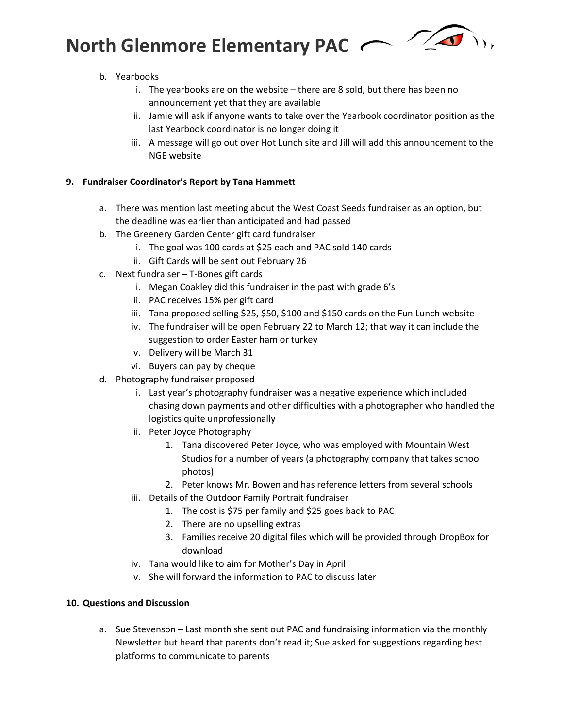

# b. Yearbooks

- i. The yearbooks are on the website there are 8 sold, but there has been no announcement yet that they are available
- ii. Jamie will ask if anyone wants to take over the Yearbook coordinator position as the last Yearbook coordinator is no longer doing it
- iii. A message will go out over Hot Lunch site and Jill will add this announcement to the NGE website

# **9. Fundraiser Coordinator's Report by Tana Hammett**

- a. There was mention last meeting about the West Coast Seeds fundraiser as an option, but the deadline was earlier than anticipated and had passed
- b. The Greenery Garden Center gift card fundraiser
	- i. The goal was 100 cards at \$25 each and PAC sold 140 cards
	- ii. Gift Cards will be sent out February 26
- c. Next fundraiser T-Bones gift cards
	- i. Megan Coakley did this fundraiser in the past with grade 6's
	- ii. PAC receives 15% per gift card
	- iii. Tana proposed selling \$25, \$50, \$100 and \$150 cards on the Fun Lunch website
	- iv. The fundraiser will be open February 22 to March 12; that way it can include the suggestion to order Easter ham or turkey
	- v. Delivery will be March 31
	- vi. Buyers can pay by cheque
- d. Photography fundraiser proposed
	- i. Last year's photography fundraiser was a negative experience which included chasing down payments and other difficulties with a photographer who handled the logistics quite unprofessionally
	- ii. Peter Joyce Photography
		- 1. Tana discovered Peter Joyce, who was employed with Mountain West Studios for a number of years (a photography company that takes school photos)
		- 2. Peter knows Mr. Bowen and has reference letters from several schools
	- iii. Details of the Outdoor Family Portrait fundraiser
		- 1. The cost is \$75 per family and \$25 goes back to PAC
		- 2. There are no upselling extras
		- 3. Families receive 20 digital files which will be provided through DropBox for download
	- iv. Tana would like to aim for Mother's Day in April
	- v. She will forward the information to PAC to discuss later

# **10. Questions and Discussion**

a. Sue Stevenson – Last month she sent out PAC and fundraising information via the monthly Newsletter but heard that parents don't read it; Sue asked for suggestions regarding best platforms to communicate to parents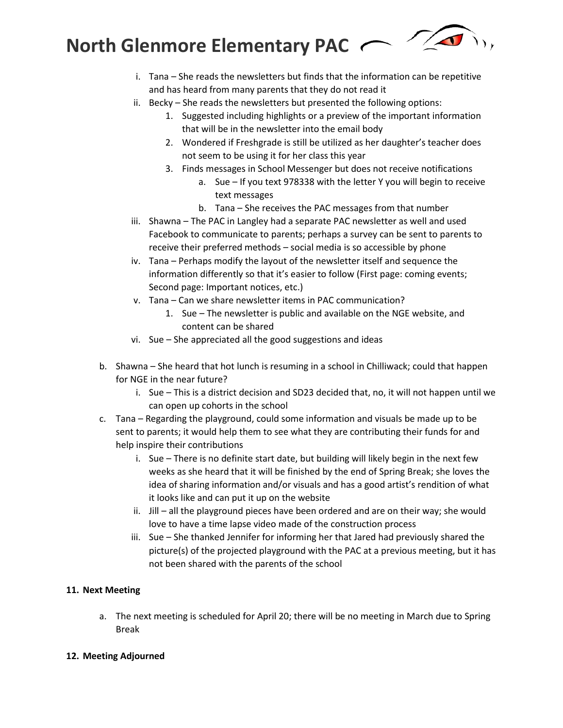

- i. Tana She reads the newsletters but finds that the information can be repetitive and has heard from many parents that they do not read it
- ii. Becky She reads the newsletters but presented the following options:
	- 1. Suggested including highlights or a preview of the important information that will be in the newsletter into the email body
	- 2. Wondered if Freshgrade is still be utilized as her daughter's teacher does not seem to be using it for her class this year
	- 3. Finds messages in School Messenger but does not receive notifications
		- a. Sue If you text 978338 with the letter Y you will begin to receive text messages
		- b. Tana She receives the PAC messages from that number
- iii. Shawna The PAC in Langley had a separate PAC newsletter as well and used Facebook to communicate to parents; perhaps a survey can be sent to parents to receive their preferred methods – social media is so accessible by phone
- iv. Tana Perhaps modify the layout of the newsletter itself and sequence the information differently so that it's easier to follow (First page: coming events; Second page: Important notices, etc.)
- v. Tana Can we share newsletter items in PAC communication?
	- 1. Sue The newsletter is public and available on the NGE website, and content can be shared
- vi. Sue She appreciated all the good suggestions and ideas
- b. Shawna She heard that hot lunch is resuming in a school in Chilliwack; could that happen for NGE in the near future?
	- i. Sue This is a district decision and SD23 decided that, no, it will not happen until we can open up cohorts in the school
- c. Tana Regarding the playground, could some information and visuals be made up to be sent to parents; it would help them to see what they are contributing their funds for and help inspire their contributions
	- i. Sue There is no definite start date, but building will likely begin in the next few weeks as she heard that it will be finished by the end of Spring Break; she loves the idea of sharing information and/or visuals and has a good artist's rendition of what it looks like and can put it up on the website
	- ii. Jill all the playground pieces have been ordered and are on their way; she would love to have a time lapse video made of the construction process
	- iii. Sue She thanked Jennifer for informing her that Jared had previously shared the picture(s) of the projected playground with the PAC at a previous meeting, but it has not been shared with the parents of the school

# **11. Next Meeting**

a. The next meeting is scheduled for April 20; there will be no meeting in March due to Spring Break

#### **12. Meeting Adjourned**